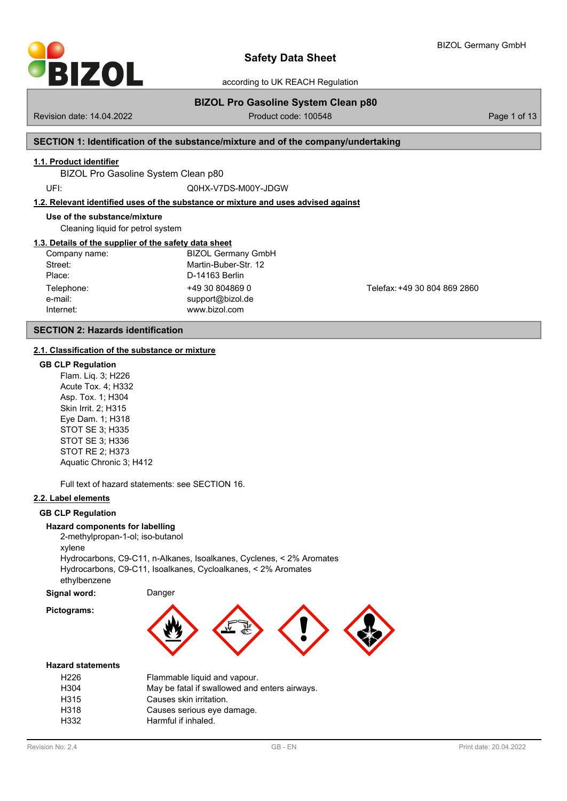

BIZOL Germany GmbH

according to UK REACH Regulation

# **BIZOL Pro Gasoline System Clean p80**

Revision date: 14.04.2022 **Product code: 100548** Page 1 of 13

# **SECTION 1: Identification of the substance/mixture and of the company/undertaking**

### **1.1. Product identifier**

BIZOL Pro Gasoline System Clean p80

UFI: Q0HX-V7DS-M00Y-JDGW

### **1.2. Relevant identified uses of the substance or mixture and uses advised against**

#### **Use of the substance/mixture**

Cleaning liquid for petrol system

### **1.3. Details of the supplier of the safety data sheet**

| Company name: | <b>BIZOL Germany GmbH</b> |
|---------------|---------------------------|
| Street:       | Martin-Buber-Str. 12      |
| Place:        | D-14163 Berlin            |
| Telephone:    | +49 30 804869 0           |
| e-mail:       | support@bizol.de          |
| Internet:     | www.bizol.com             |

Telefax: +49 30 804 869 2860

# **SECTION 2: Hazards identification**

### **2.1. Classification of the substance or [mixture](mailto:support@bizol.de)**

#### **GB CLP Regulation**

Flam. Liq. 3; H226 Acute Tox. 4; H332 Asp. Tox. 1; H304 Skin Irrit. 2; H315 Eye Dam. 1; H318 STOT SE 3; H335 STOT SE 3; H336 STOT RE 2; H373 Aquatic Chronic 3; H412

Full text of hazard statements: see SECTION 16.

### **2.2. Label elements**

### **GB CLP Regulation**

### **Hazard components for labelling**

2-methylpropan-1-ol; iso-butanol

xylene

Hydrocarbons, C9-C11, n-Alkanes, Isoalkanes, Cyclenes, < 2% Aromates Hydrocarbons, C9-C11, Isoalkanes, Cycloalkanes, < 2% Aromates ethylbenzene

**Signal word:** Danger **Pictograms:**



### **Hazard statements**

| H226 | Flammable liquid and vapour.                  |
|------|-----------------------------------------------|
| H304 | May be fatal if swallowed and enters airways. |
| H315 | Causes skin irritation.                       |
| H318 | Causes serious eye damage.                    |
| H332 | Harmful if inhaled.                           |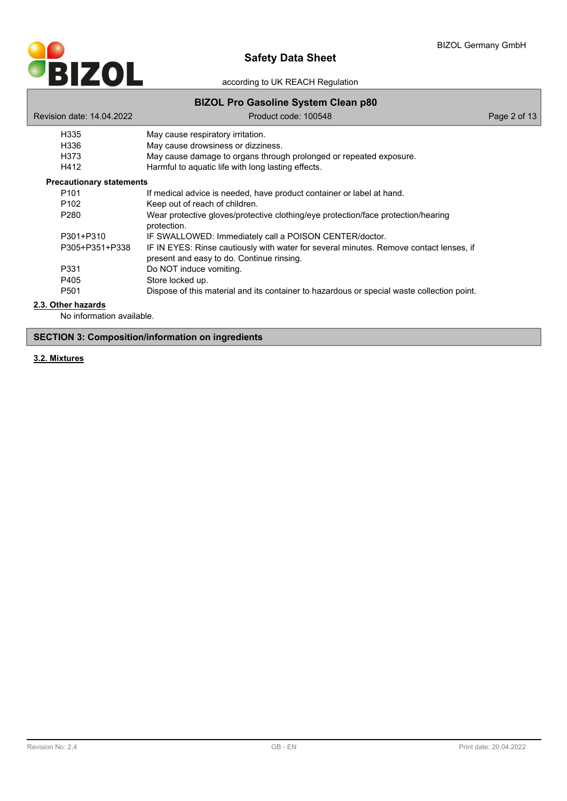

| Revision date: 14.04.2022       | <b>PILOL I TO GUSUING UYSIGIN OIGUN ROU</b><br>Product code: 100548                                                                 | Page 2 of 13 |
|---------------------------------|-------------------------------------------------------------------------------------------------------------------------------------|--------------|
| H335                            | May cause respiratory irritation.                                                                                                   |              |
| H336                            | May cause drowsiness or dizziness.                                                                                                  |              |
| H373                            | May cause damage to organs through prolonged or repeated exposure.                                                                  |              |
| H412                            | Harmful to aquatic life with long lasting effects.                                                                                  |              |
| <b>Precautionary statements</b> |                                                                                                                                     |              |
| P <sub>101</sub>                | If medical advice is needed, have product container or label at hand.                                                               |              |
| P <sub>102</sub>                | Keep out of reach of children.                                                                                                      |              |
| P <sub>280</sub>                | Wear protective gloves/protective clothing/eye protection/face protection/hearing<br>protection.                                    |              |
| P301+P310                       | IF SWALLOWED: Immediately call a POISON CENTER/doctor.                                                                              |              |
| P305+P351+P338                  | IF IN EYES: Rinse cautiously with water for several minutes. Remove contact lenses, if<br>present and easy to do. Continue rinsing. |              |
| P331                            | Do NOT induce vomiting.                                                                                                             |              |
| P405                            | Store locked up.                                                                                                                    |              |
| P <sub>501</sub>                | Dispose of this material and its container to hazardous or special waste collection point.                                          |              |

### **2.3. Other hazards**

No information available.

# **SECTION 3: Composition/information on ingredients**

# **3.2. Mixtures**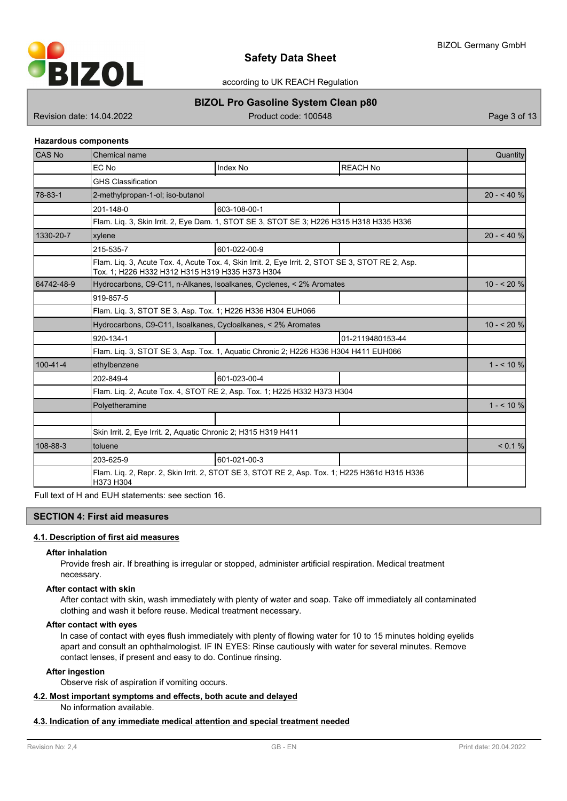

according to UK REACH Regulation

# **BIZOL Pro Gasoline System Clean p80**

Revision date: 14.04.2022 **Product code: 100548** Page 3 of 13

### **Hazardous components**

| <b>CAS No</b> | Chemical name                                                                                              |                                                                                                   |                  |            |  |  |
|---------------|------------------------------------------------------------------------------------------------------------|---------------------------------------------------------------------------------------------------|------------------|------------|--|--|
|               | EC No                                                                                                      | <b>Index No</b>                                                                                   | <b>REACH No</b>  |            |  |  |
|               | <b>GHS Classification</b>                                                                                  |                                                                                                   |                  |            |  |  |
| 78-83-1       | 2-methylpropan-1-ol; iso-butanol                                                                           |                                                                                                   |                  |            |  |  |
|               | 201-148-0                                                                                                  | 603-108-00-1                                                                                      |                  |            |  |  |
|               |                                                                                                            | Flam. Lig. 3, Skin Irrit. 2, Eye Dam. 1, STOT SE 3, STOT SE 3; H226 H315 H318 H335 H336           |                  |            |  |  |
| 1330-20-7     | xylene                                                                                                     |                                                                                                   |                  | $20 - 40%$ |  |  |
|               | 215-535-7                                                                                                  | 601-022-00-9                                                                                      |                  |            |  |  |
|               | Tox. 1; H226 H332 H312 H315 H319 H335 H373 H304                                                            | Flam. Lig. 3, Acute Tox. 4, Acute Tox. 4, Skin Irrit. 2, Eye Irrit. 2, STOT SE 3, STOT RE 2, Asp. |                  |            |  |  |
| 64742-48-9    |                                                                                                            | Hydrocarbons, C9-C11, n-Alkanes, Isoalkanes, Cyclenes, < 2% Aromates                              |                  | $10 - 20%$ |  |  |
|               | 919-857-5                                                                                                  |                                                                                                   |                  |            |  |  |
|               | Flam. Liq. 3, STOT SE 3, Asp. Tox. 1; H226 H336 H304 EUH066                                                |                                                                                                   |                  |            |  |  |
|               | Hydrocarbons, C9-C11, Isoalkanes, Cycloalkanes, < 2% Aromates                                              |                                                                                                   |                  |            |  |  |
|               | 920-134-1                                                                                                  |                                                                                                   | 01-2119480153-44 |            |  |  |
|               | Flam. Lig. 3, STOT SE 3, Asp. Tox. 1, Aguatic Chronic 2; H226 H336 H304 H411 EUH066                        |                                                                                                   |                  |            |  |  |
| 100-41-4      | ethylbenzene                                                                                               |                                                                                                   |                  | $1 - 10\%$ |  |  |
|               | 202-849-4                                                                                                  | 601-023-00-4                                                                                      |                  |            |  |  |
|               | Flam. Liq. 2, Acute Tox. 4, STOT RE 2, Asp. Tox. 1; H225 H332 H373 H304                                    |                                                                                                   |                  |            |  |  |
|               | Polyetheramine                                                                                             |                                                                                                   |                  | $1 - 510%$ |  |  |
|               |                                                                                                            |                                                                                                   |                  |            |  |  |
|               | Skin Irrit. 2, Eye Irrit. 2, Aquatic Chronic 2; H315 H319 H411                                             |                                                                                                   |                  |            |  |  |
| 108-88-3      | toluene                                                                                                    |                                                                                                   |                  |            |  |  |
|               | 203-625-9                                                                                                  | 601-021-00-3                                                                                      |                  |            |  |  |
|               | Flam. Lig. 2, Repr. 2, Skin Irrit. 2, STOT SE 3, STOT RE 2, Asp. Tox. 1; H225 H361d H315 H336<br>H373 H304 |                                                                                                   |                  |            |  |  |

Full text of H and EUH statements: see section 16.

## **SECTION 4: First aid measures**

### **4.1. Description of first aid measures**

### **After inhalation**

Provide fresh air. If breathing is irregular or stopped, administer artificial respiration. Medical treatment necessary.

### **After contact with skin**

After contact with skin, wash immediately with plenty of water and soap. Take off immediately all contaminated clothing and wash it before reuse. Medical treatment necessary.

### **After contact with eyes**

In case of contact with eyes flush immediately with plenty of flowing water for 10 to 15 minutes holding eyelids apart and consult an ophthalmologist. IF IN EYES: Rinse cautiously with water for several minutes. Remove contact lenses, if present and easy to do. Continue rinsing.

### **After ingestion**

Observe risk of aspiration if vomiting occurs.

# **4.2. Most important symptoms and effects, both acute and delayed**

No information available.

### **4.3. Indication of any immediate medical attention and special treatment needed**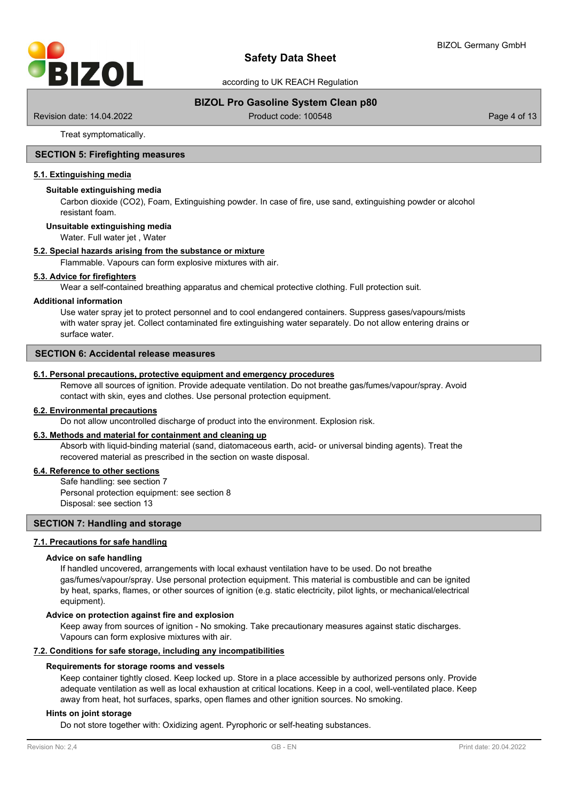

# **BIZOL Pro Gasoline System Clean p80**

Revision date: 14.04.2022 **Product code: 100548** Page 4 of 13

Treat symptomatically.

### **SECTION 5: Firefighting measures**

### **5.1. Extinguishing media**

### **Suitable extinguishing media**

Carbon dioxide (CO2), Foam, Extinguishing powder. In case of fire, use sand, extinguishing powder or alcohol resistant foam.

#### **Unsuitable extinguishing media**

Water. Full water jet , Water

### **5.2. Special hazards arising from the substance or mixture**

Flammable. Vapours can form explosive mixtures with air.

### **5.3. Advice for firefighters**

Wear a self-contained breathing apparatus and chemical protective clothing. Full protection suit.

#### **Additional information**

Use water spray jet to protect personnel and to cool endangered containers. Suppress gases/vapours/mists with water spray jet. Collect contaminated fire extinguishing water separately. Do not allow entering drains or surface water.

# **SECTION 6: Accidental release measures**

### **6.1. Personal precautions, protective equipment and emergency procedures**

Remove all sources of ignition. Provide adequate ventilation. Do not breathe gas/fumes/vapour/spray. Avoid contact with skin, eyes and clothes. Use personal protection equipment.

#### **6.2. Environmental precautions**

Do not allow uncontrolled discharge of product into the environment. Explosion risk.

### **6.3. Methods and material for containment and cleaning up**

Absorb with liquid-binding material (sand, diatomaceous earth, acid- or universal binding agents). Treat the recovered material as prescribed in the section on waste disposal.

### **6.4. Reference to other sections**

Safe handling: see section 7 Personal protection equipment: see section 8 Disposal: see section 13

### **SECTION 7: Handling and storage**

### **7.1. Precautions for safe handling**

#### **Advice on safe handling**

If handled uncovered, arrangements with local exhaust ventilation have to be used. Do not breathe gas/fumes/vapour/spray. Use personal protection equipment. This material is combustible and can be ignited by heat, sparks, flames, or other sources of ignition (e.g. static electricity, pilot lights, or mechanical/electrical equipment).

#### **Advice on protection against fire and explosion**

Keep away from sources of ignition - No smoking. Take precautionary measures against static discharges. Vapours can form explosive mixtures with air.

#### **7.2. Conditions for safe storage, including any incompatibilities**

#### **Requirements for storage rooms and vessels**

Keep container tightly closed. Keep locked up. Store in a place accessible by authorized persons only. Provide adequate ventilation as well as local exhaustion at critical locations. Keep in a cool, well-ventilated place. Keep away from heat, hot surfaces, sparks, open flames and other ignition sources. No smoking.

#### **Hints on joint storage**

Do not store together with: Oxidizing agent. Pyrophoric or self-heating substances.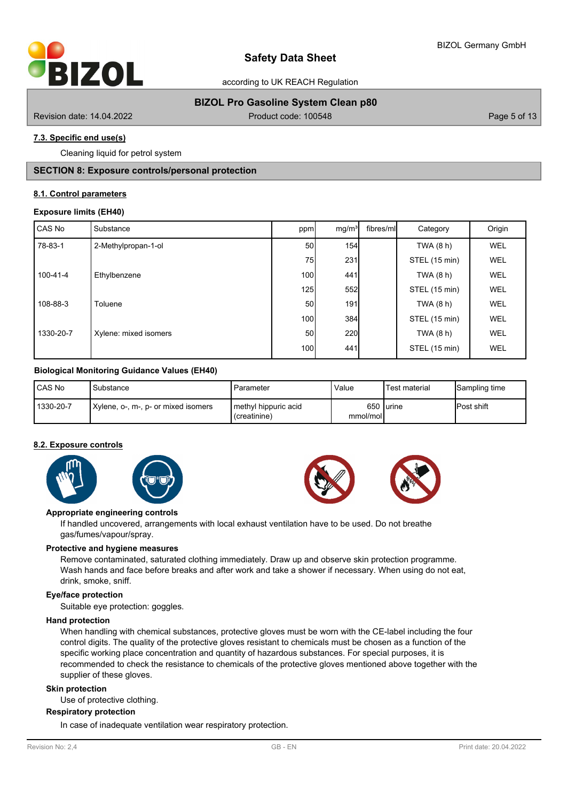

# **BIZOL Pro Gasoline System Clean p80**

Revision date: 14.04.2022 **Product code: 100548** Page 5 of 13

# **7.3. Specific end use(s)**

Cleaning liquid for petrol system

# **SECTION 8: Exposure controls/personal protection**

### **8.1. Control parameters**

### **Exposure limits (EH40)**

| CAS No         | Substance             | ppm              | mg/m <sup>3</sup> | fibres/ml | Category      | Origin     |
|----------------|-----------------------|------------------|-------------------|-----------|---------------|------------|
| 78-83-1        | 2-Methylpropan-1-ol   | 50 <sup>1</sup>  | 154               |           | TWA (8 h)     | <b>WEL</b> |
|                |                       | 75               | 231               |           | STEL (15 min) | <b>WEL</b> |
| $100 - 41 - 4$ | Ethylbenzene          | 100 <sup>1</sup> | 441               |           | TWA (8 h)     | WEL        |
|                |                       | 125              | 552               |           | STEL (15 min) | <b>WEL</b> |
| 108-88-3       | Toluene               | 50 <sup>1</sup>  | 191               |           | TWA (8 h)     | <b>WEL</b> |
|                |                       | 100 <sup>1</sup> | 384               |           | STEL (15 min) | <b>WEL</b> |
| 1330-20-7      | Xylene: mixed isomers | 50 <sup>1</sup>  | 220               |           | TWA (8 h)     | WEL        |
|                |                       | 100 <sup>1</sup> | 441               |           | STEL (15 min) | WEL        |

### **Biological Monitoring Guidance Values (EH40)**

| <b>CAS No</b> | Substance                           | Parameter                                     | Value    | 'Test material | Sampling time      |
|---------------|-------------------------------------|-----------------------------------------------|----------|----------------|--------------------|
| 1330-20-7     | Xylene, o-, m-, p- or mixed isomers | <b>I</b> methvl hippuric acid<br>(creatinine) | mmol/mol | 650 lurine     | <b>IPost shift</b> |

### **8.2. Exposure controls**







### **Appropriate engineering controls**

If handled uncovered, arrangements with local exhaust ventilation have to be used. Do not breathe gas/fumes/vapour/spray.

### **Protective and hygiene measures**

Remove contaminated, saturated clothing immediately. Draw up and observe skin protection programme. Wash hands and face before breaks and after work and take a shower if necessary. When using do not eat, drink, smoke, sniff.

### **Eye/face protection**

Suitable eye protection: goggles.

### **Hand protection**

When handling with chemical substances, protective gloves must be worn with the CE-label including the four control digits. The quality of the protective gloves resistant to chemicals must be chosen as a function of the specific working place concentration and quantity of hazardous substances. For special purposes, it is recommended to check the resistance to chemicals of the protective gloves mentioned above together with the supplier of these gloves.

### **Skin protection**

Use of protective clothing.

### **Respiratory protection**

In case of inadequate ventilation wear respiratory protection.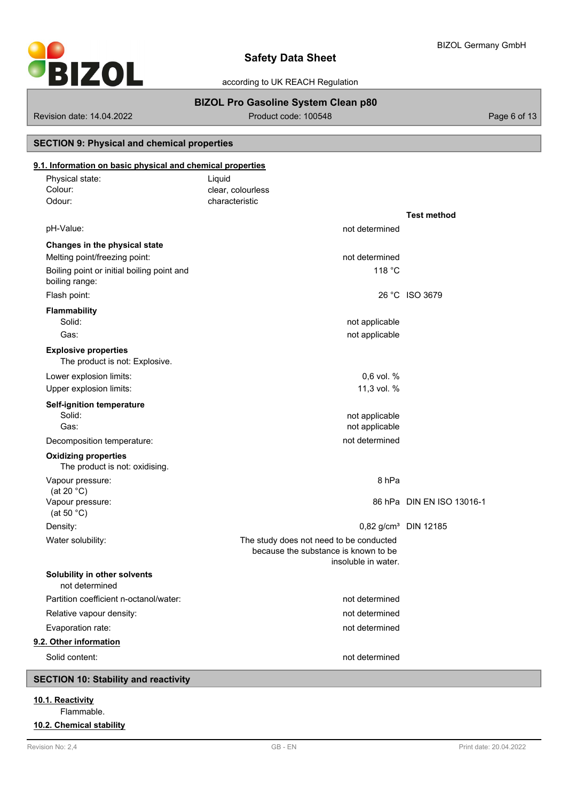

# **BIZOL Pro Gasoline System Clean p80**

Revision date: 14.04.2022 **Product code: 100548** Page 6 of 13

# **SECTION 9: Physical and chemical properties**

# **9.1. Information on basic physical and chemical properties**

| Physical state:<br>Colour:<br>Odour:                          | Liquid<br>clear, colourless<br>characteristic                                                          |                                  |
|---------------------------------------------------------------|--------------------------------------------------------------------------------------------------------|----------------------------------|
|                                                               |                                                                                                        | <b>Test method</b>               |
| pH-Value:                                                     | not determined                                                                                         |                                  |
| Changes in the physical state                                 |                                                                                                        |                                  |
| Melting point/freezing point:                                 | not determined                                                                                         |                                  |
| Boiling point or initial boiling point and<br>boiling range:  | 118 °C                                                                                                 |                                  |
| Flash point:                                                  |                                                                                                        | 26 °C ISO 3679                   |
| <b>Flammability</b><br>Solid:                                 | not applicable                                                                                         |                                  |
| Gas:                                                          | not applicable                                                                                         |                                  |
| <b>Explosive properties</b><br>The product is not: Explosive. |                                                                                                        |                                  |
| Lower explosion limits:                                       | $0.6$ vol. %                                                                                           |                                  |
| Upper explosion limits:                                       | 11,3 vol. %                                                                                            |                                  |
| <b>Self-ignition temperature</b><br>Solid:                    | not applicable                                                                                         |                                  |
| Gas:                                                          | not applicable                                                                                         |                                  |
| Decomposition temperature:                                    | not determined                                                                                         |                                  |
| <b>Oxidizing properties</b><br>The product is not: oxidising. |                                                                                                        |                                  |
| Vapour pressure:                                              | 8 <sub>hPa</sub>                                                                                       |                                  |
| (at 20 $°C$ )<br>Vapour pressure:                             |                                                                                                        | 86 hPa DIN EN ISO 13016-1        |
| (at 50 $°C$ )                                                 |                                                                                                        |                                  |
| Density:                                                      |                                                                                                        | 0,82 g/cm <sup>3</sup> DIN 12185 |
| Water solubility:                                             | The study does not need to be conducted<br>because the substance is known to be<br>insoluble in water. |                                  |
| Solubility in other solvents<br>not determined                |                                                                                                        |                                  |
| Partition coefficient n-octanol/water:                        | not determined                                                                                         |                                  |
| Relative vapour density:                                      | not determined                                                                                         |                                  |
| Evaporation rate:                                             | not determined                                                                                         |                                  |
| 9.2. Other information                                        |                                                                                                        |                                  |
| Solid content:                                                | not determined                                                                                         |                                  |

# **SECTION 10: Stability and reactivity**

# **10.1. Reactivity**

Flammable.

# **10.2. Chemical stability**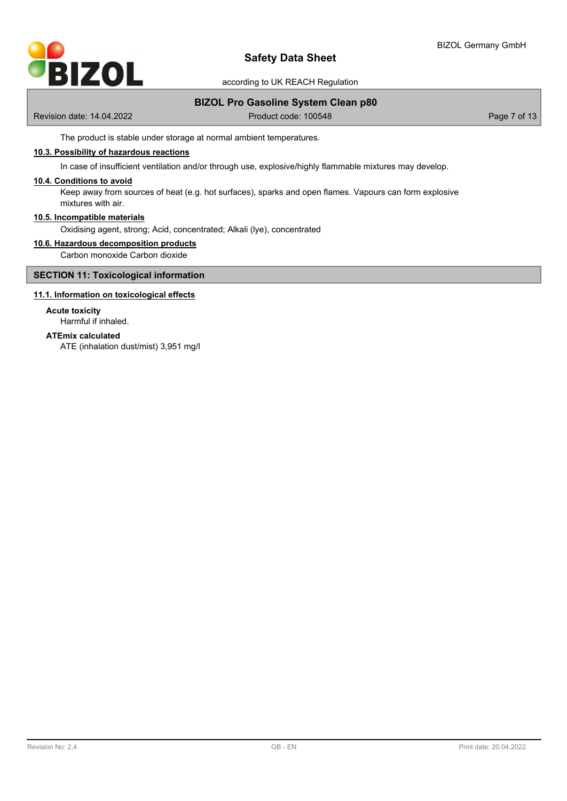

# **BIZOL Pro Gasoline System Clean p80**

Revision date: 14.04.2022 **Product code: 100548** Page 7 of 13

The product is stable under storage at normal ambient temperatures.

## **10.3. Possibility of hazardous reactions**

In case of insufficient ventilation and/or through use, explosive/highly flammable mixtures may develop.

### **10.4. Conditions to avoid**

Keep away from sources of heat (e.g. hot surfaces), sparks and open flames. Vapours can form explosive mixtures with air.

#### **10.5. Incompatible materials**

Oxidising agent, strong; Acid, concentrated; Alkali (lye), concentrated

### **10.6. Hazardous decomposition products**

Carbon monoxide Carbon dioxide

### **SECTION 11: Toxicological information**

### **11.1. Information on toxicological effects**

# **Acute toxicity**

Harmful if inhaled.

# **ATEmix calculated**

ATE (inhalation dust/mist) 3,951 mg/l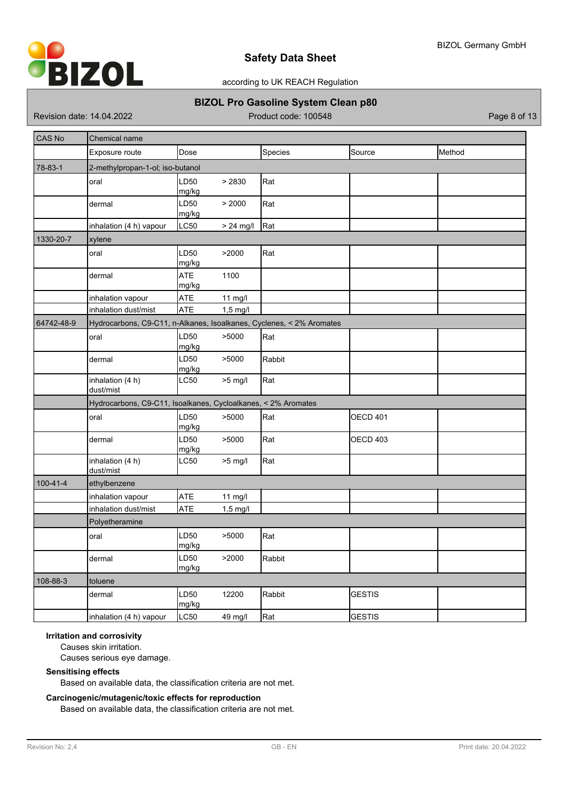

according to UK REACH Regulation

# **BIZOL Pro Gasoline System Clean p80**

Revision date: 14.04.2022 **Product code: 100548** Page 8 of 13

| CAS No     | Chemical name                                                        |                     |             |         |                 |        |
|------------|----------------------------------------------------------------------|---------------------|-------------|---------|-----------------|--------|
|            | Exposure route                                                       | Dose                |             | Species | Source          | Method |
| 78-83-1    | 2-methylpropan-1-ol; iso-butanol                                     |                     |             |         |                 |        |
|            | oral                                                                 | LD50<br>mg/kg       | > 2830      | Rat     |                 |        |
|            | dermal                                                               | LD50<br>mg/kg       | > 2000      | Rat     |                 |        |
|            | inhalation (4 h) vapour                                              | LC50                | $> 24$ mg/l | Rat     |                 |        |
| 1330-20-7  | xylene                                                               |                     |             |         |                 |        |
|            | oral                                                                 | LD50<br>mg/kg       | >2000       | Rat     |                 |        |
|            | dermal                                                               | <b>ATE</b><br>mg/kg | 1100        |         |                 |        |
|            | inhalation vapour                                                    | ATE                 | 11 mg/l     |         |                 |        |
|            | inhalation dust/mist                                                 | <b>ATE</b>          | $1,5$ mg/l  |         |                 |        |
| 64742-48-9 | Hydrocarbons, C9-C11, n-Alkanes, Isoalkanes, Cyclenes, < 2% Aromates |                     |             |         |                 |        |
|            | oral                                                                 | LD50<br>mg/kg       | >5000       | Rat     |                 |        |
|            | dermal                                                               | LD50<br>mg/kg       | >5000       | Rabbit  |                 |        |
|            | inhalation (4 h)<br>dust/mist                                        | LC50                | $>5$ mg/l   | Rat     |                 |        |
|            | Hydrocarbons, C9-C11, Isoalkanes, Cycloalkanes, < 2% Aromates        |                     |             |         |                 |        |
|            | oral                                                                 | LD50<br>mg/kg       | >5000       | Rat     | <b>OECD 401</b> |        |
|            | dermal                                                               | LD50<br>mg/kg       | >5000       | Rat     | OECD 403        |        |
|            | inhalation (4 h)<br>dust/mist                                        | LC50                | $>5$ mg/l   | Rat     |                 |        |
| 100-41-4   | ethylbenzene                                                         |                     |             |         |                 |        |
|            | inhalation vapour                                                    | <b>ATE</b>          | 11 mg/l     |         |                 |        |
|            | inhalation dust/mist                                                 | <b>ATE</b>          | $1,5$ mg/l  |         |                 |        |
|            | Polyetheramine                                                       |                     |             |         |                 |        |
|            | oral                                                                 | LD50<br>mg/kg       | >5000       | Rat     |                 |        |
|            | dermal                                                               | LD50<br>mg/kg       | >2000       | Rabbit  |                 |        |
| 108-88-3   | toluene                                                              |                     |             |         |                 |        |
|            | dermal                                                               | LD50<br>mg/kg       | 12200       | Rabbit  | <b>GESTIS</b>   |        |
|            | inhalation (4 h) vapour                                              | <b>LC50</b>         | 49 mg/l     | Rat     | <b>GESTIS</b>   |        |

### **Irritation and corrosivity**

Causes skin irritation.

Causes serious eye damage.

# **Sensitising effects**

Based on available data, the classification criteria are not met.

## **Carcinogenic/mutagenic/toxic effects for reproduction**

Based on available data, the classification criteria are not met.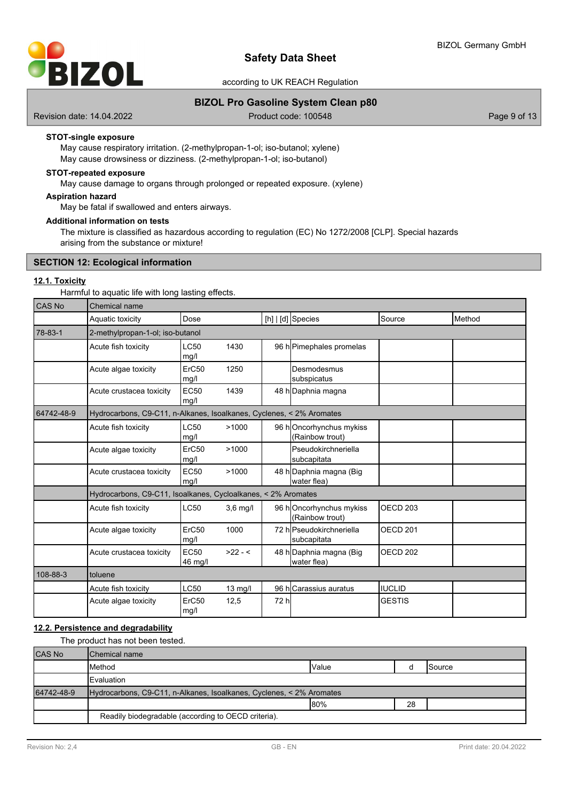

### **BIZOL Pro Gasoline System Clean p80**

Revision date: 14.04.2022 **Product code: 100548** Page 9 of 13

### **STOT-single exposure**

May cause respiratory irritation. (2-methylpropan-1-ol; iso-butanol; xylene) May cause drowsiness or dizziness. (2-methylpropan-1-ol; iso-butanol)

### **STOT-repeated exposure**

May cause damage to organs through prolonged or repeated exposure. (xylene)

### **Aspiration hazard**

May be fatal if swallowed and enters airways.

### **Additional information on tests**

The mixture is classified as hazardous according to regulation (EC) No 1272/2008 [CLP]. Special hazards arising from the substance or mixture!

### **SECTION 12: Ecological information**

# **12.1. Toxicity**

Harmful to aquatic life with long lasting effects.

| CAS No     | Chemical name                                                        |                                  |            |       |                                            |                     |        |  |  |  |  |
|------------|----------------------------------------------------------------------|----------------------------------|------------|-------|--------------------------------------------|---------------------|--------|--|--|--|--|
|            | Aquatic toxicity                                                     | Dose                             |            |       | $[h]   [d]$ Species                        | Source              | Method |  |  |  |  |
| 78-83-1    |                                                                      | 2-methylpropan-1-ol; iso-butanol |            |       |                                            |                     |        |  |  |  |  |
|            | Acute fish toxicity                                                  | LC50<br>mg/l                     | 1430       |       | 96 h Pimephales promelas                   |                     |        |  |  |  |  |
|            | Acute algae toxicity                                                 | ErC50<br>mg/l                    | 1250       |       | Desmodesmus<br>subspicatus                 |                     |        |  |  |  |  |
|            | Acute crustacea toxicity                                             | <b>EC50</b><br>mg/l              | 1439       |       | 48 h Daphnia magna                         |                     |        |  |  |  |  |
| 64742-48-9 | Hydrocarbons, C9-C11, n-Alkanes, Isoalkanes, Cyclenes, < 2% Aromates |                                  |            |       |                                            |                     |        |  |  |  |  |
|            | Acute fish toxicity                                                  | LC50<br>mg/l                     | >1000      |       | 96 hOncorhynchus mykiss<br>(Rainbow trout) |                     |        |  |  |  |  |
|            | Acute algae toxicity                                                 | ErC50<br>mg/l                    | >1000      |       | lPseudokirchneriella<br>subcapitata        |                     |        |  |  |  |  |
|            | Acute crustacea toxicity                                             | <b>EC50</b><br>mq/l              | >1000      |       | 48 h Daphnia magna (Big<br>water flea)     |                     |        |  |  |  |  |
|            | Hydrocarbons, C9-C11, Isoalkanes, Cycloalkanes, < 2% Aromates        |                                  |            |       |                                            |                     |        |  |  |  |  |
|            | Acute fish toxicity                                                  | <b>LC50</b>                      | $3.6$ mg/l |       | 96 hOncorhynchus mykiss<br>(Rainbow trout) | OECD <sub>203</sub> |        |  |  |  |  |
|            | Acute algae toxicity                                                 | ErC50<br>mg/l                    | 1000       |       | 72 hlPseudokirchneriella<br>subcapitata    | OECD <sub>201</sub> |        |  |  |  |  |
|            | Acute crustacea toxicity                                             | <b>EC50</b><br>46 mg/l           | $>22 - 5$  |       | 48 h Daphnia magna (Big<br>water flea)     | OECD <sub>202</sub> |        |  |  |  |  |
| 108-88-3   | toluene                                                              |                                  |            |       |                                            |                     |        |  |  |  |  |
|            | Acute fish toxicity                                                  | LC50                             | 13 mg/l    |       | 96 hlCarassius auratus                     | <b>IUCLID</b>       |        |  |  |  |  |
|            | Acute algae toxicity                                                 | ErC50<br>mg/l                    | 12,5       | 72 hl |                                            | <b>GESTIS</b>       |        |  |  |  |  |

### **12.2. Persistence and degradability**

The product has not been tested.

| <b>CAS No</b> | <b>I</b> Chemical name                                               |              |  |                 |  |  |  |
|---------------|----------------------------------------------------------------------|--------------|--|-----------------|--|--|--|
|               | <b>I</b> Method                                                      | <b>Value</b> |  | <b>I</b> Source |  |  |  |
|               | <b>I</b> Evaluation                                                  |              |  |                 |  |  |  |
| 64742-48-9    | Hydrocarbons, C9-C11, n-Alkanes, Isoalkanes, Cyclenes, < 2% Aromates |              |  |                 |  |  |  |
|               | 80%<br>28                                                            |              |  |                 |  |  |  |
|               | Readily biodegradable (according to OECD criteria).                  |              |  |                 |  |  |  |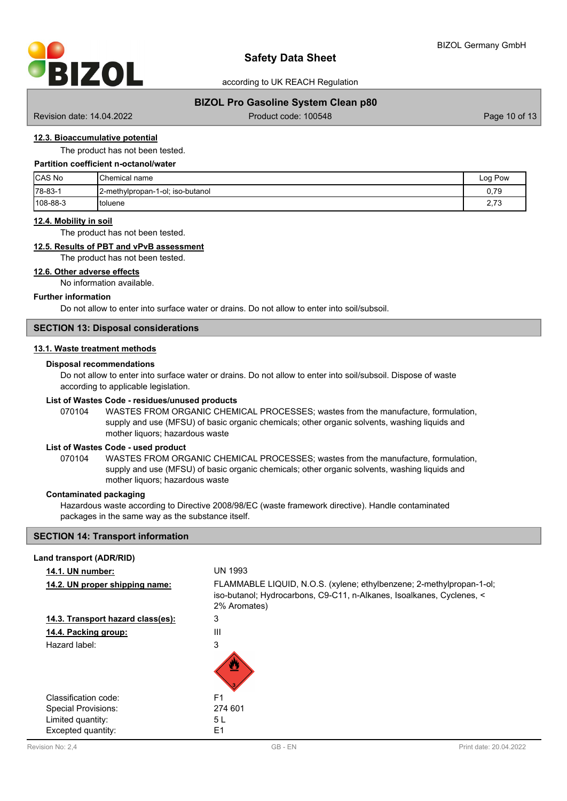

according to UK REACH Regulation

### **BIZOL Pro Gasoline System Clean p80**

Revision date: 14.04.2022 Product code: 100548 Product code: 100548 Page 10 of 13

# **12.3. Bioaccumulative potential**

The product has not been tested.

# **Partition coefficient n-octanol/water**

| <b>CAS No</b> | <b>I</b> Chemical name           | ı Pow<br>Log |
|---------------|----------------------------------|--------------|
| 178-83-1      | 2-methylpropan-1-ol; iso-butanol | 0.79         |
| 108-88-3      | Itoluene                         | 220<br>د ، د |

#### **12.4. Mobility in soil**

The product has not been tested.

# **12.5. Results of PBT and vPvB assessment**

The product has not been tested.

### **12.6. Other adverse effects**

No information available.

# **Further information**

Do not allow to enter into surface water or drains. Do not allow to enter into soil/subsoil.

### **SECTION 13: Disposal considerations**

### **13.1. Waste treatment methods**

### **Disposal recommendations**

Do not allow to enter into surface water or drains. Do not allow to enter into soil/subsoil. Dispose of waste according to applicable legislation.

#### **List of Wastes Code - residues/unused products**

070104 WASTES FROM ORGANIC CHEMICAL PROCESSES; wastes from the manufacture, formulation, supply and use (MFSU) of basic organic chemicals; other organic solvents, washing liquids and mother liquors; hazardous waste

### **List of Wastes Code - used product**

WASTES FROM ORGANIC CHEMICAL PROCESSES; wastes from the manufacture, formulation, supply and use (MFSU) of basic organic chemicals; other organic solvents, washing liquids and mother liquors; hazardous waste 070104

#### **Contaminated packaging**

Hazardous waste according to Directive 2008/98/EC (waste framework directive). Handle contaminated packages in the same way as the substance itself.

### **SECTION 14: Transport information**

| Land transport (ADR/RID)          |                                                                                                                                                               |
|-----------------------------------|---------------------------------------------------------------------------------------------------------------------------------------------------------------|
| 14.1. UN number:                  | UN 1993                                                                                                                                                       |
| 14.2. UN proper shipping name:    | FLAMMABLE LIQUID, N.O.S. (xylene; ethylbenzene; 2-methylpropan-1-ol;<br>iso-butanol; Hydrocarbons, C9-C11, n-Alkanes, Isoalkanes, Cyclenes, <<br>2% Aromates) |
| 14.3. Transport hazard class(es): | 3                                                                                                                                                             |
| 14.4. Packing group:              | Ш                                                                                                                                                             |
| Hazard label:                     | 3                                                                                                                                                             |
| Classification code:              | F <sub>1</sub>                                                                                                                                                |
| <b>Special Provisions:</b>        | 274 601                                                                                                                                                       |
| Limited quantity:                 | 5 L                                                                                                                                                           |
| Excepted quantity:                | E1                                                                                                                                                            |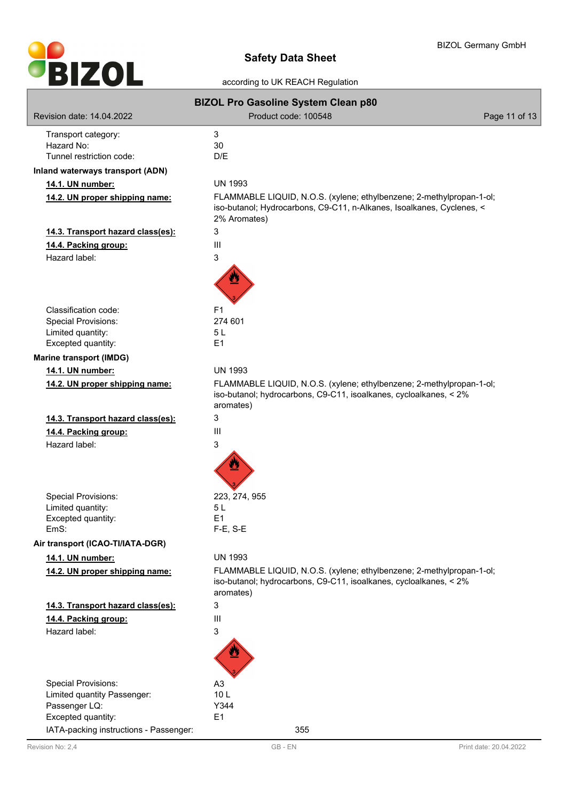

|                                         | <b>BIZOL Pro Gasoline System Clean p80</b>                                                                                                             |               |
|-----------------------------------------|--------------------------------------------------------------------------------------------------------------------------------------------------------|---------------|
| Revision date: 14.04.2022               | Product code: 100548                                                                                                                                   | Page 11 of 13 |
|                                         |                                                                                                                                                        |               |
| Transport category:<br>Hazard No:       | 3<br>30                                                                                                                                                |               |
| Tunnel restriction code:                | D/E                                                                                                                                                    |               |
| <b>Inland waterways transport (ADN)</b> |                                                                                                                                                        |               |
| 14.1. UN number:                        | <b>UN 1993</b>                                                                                                                                         |               |
| 14.2. UN proper shipping name:          | FLAMMABLE LIQUID, N.O.S. (xylene; ethylbenzene; 2-methylpropan-1-ol;                                                                                   |               |
|                                         | iso-butanol; Hydrocarbons, C9-C11, n-Alkanes, Isoalkanes, Cyclenes, <<br>2% Aromates)                                                                  |               |
| 14.3. Transport hazard class(es):       | 3                                                                                                                                                      |               |
| 14.4. Packing group:                    | Ш                                                                                                                                                      |               |
| Hazard label:                           | 3                                                                                                                                                      |               |
|                                         |                                                                                                                                                        |               |
| Classification code:                    | F1                                                                                                                                                     |               |
| <b>Special Provisions:</b>              | 274 601                                                                                                                                                |               |
| Limited quantity:                       | 5 <sub>L</sub>                                                                                                                                         |               |
| Excepted quantity:                      | E1                                                                                                                                                     |               |
| <b>Marine transport (IMDG)</b>          |                                                                                                                                                        |               |
| 14.1. UN number:                        | <b>UN 1993</b>                                                                                                                                         |               |
| 14.2. UN proper shipping name:          | FLAMMABLE LIQUID, N.O.S. (xylene; ethylbenzene; 2-methylpropan-1-ol;<br>iso-butanol; hydrocarbons, C9-C11, isoalkanes, cycloalkanes, < 2%<br>aromates) |               |
| 14.3. Transport hazard class(es):       | 3                                                                                                                                                      |               |
| 14.4. Packing group:                    | Ш                                                                                                                                                      |               |
| Hazard label:                           | 3                                                                                                                                                      |               |
|                                         |                                                                                                                                                        |               |
| <b>Special Provisions:</b>              | 223, 274, 955                                                                                                                                          |               |
| Limited quantity:                       | 5 L                                                                                                                                                    |               |
| Excepted quantity:<br>EmS:              | E1<br>$F-E$ , S-E                                                                                                                                      |               |
| Air transport (ICAO-TI/IATA-DGR)        |                                                                                                                                                        |               |
|                                         |                                                                                                                                                        |               |
| 14.1. UN number:                        | <b>UN 1993</b>                                                                                                                                         |               |
| 14.2. UN proper shipping name:          | FLAMMABLE LIQUID, N.O.S. (xylene; ethylbenzene; 2-methylpropan-1-ol;<br>iso-butanol; hydrocarbons, C9-C11, isoalkanes, cycloalkanes, < 2%<br>aromates) |               |
| 14.3. Transport hazard class(es):       | 3                                                                                                                                                      |               |
| 14.4. Packing group:                    | Ш                                                                                                                                                      |               |
| Hazard label:                           | 3                                                                                                                                                      |               |
|                                         |                                                                                                                                                        |               |
| <b>Special Provisions:</b>              | A <sub>3</sub>                                                                                                                                         |               |
| Limited quantity Passenger:             | 10L                                                                                                                                                    |               |
| Passenger LQ:                           | Y344                                                                                                                                                   |               |
| Excepted quantity:                      | E <sub>1</sub>                                                                                                                                         |               |
| IATA-packing instructions - Passenger:  | 355                                                                                                                                                    |               |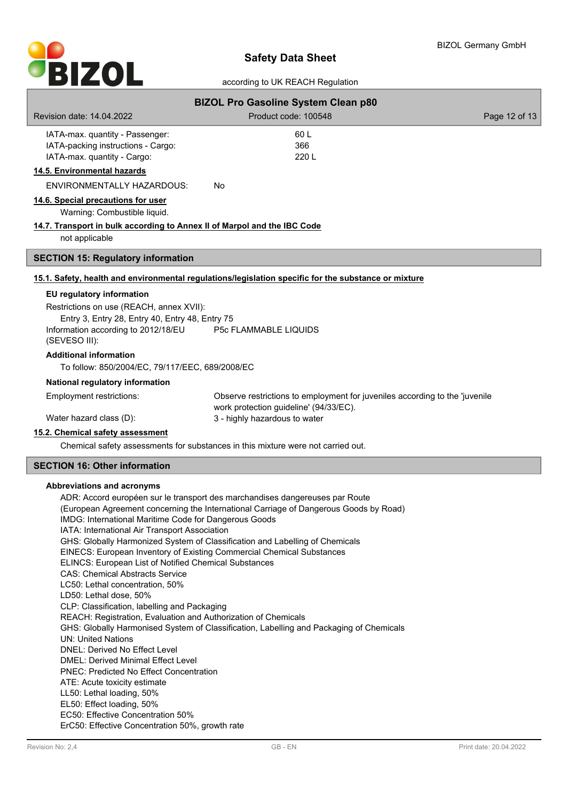

|                                                                                                                                                                                                               | <b>BIZOL Pro Gasoline System Clean p80</b>                                                                                                                                                                                                            |               |
|---------------------------------------------------------------------------------------------------------------------------------------------------------------------------------------------------------------|-------------------------------------------------------------------------------------------------------------------------------------------------------------------------------------------------------------------------------------------------------|---------------|
| Revision date: 14.04.2022                                                                                                                                                                                     | Product code: 100548                                                                                                                                                                                                                                  | Page 12 of 13 |
| IATA-max. quantity - Passenger:<br>IATA-packing instructions - Cargo:<br>IATA-max. quantity - Cargo:                                                                                                          | 60 L<br>366<br>220 L                                                                                                                                                                                                                                  |               |
| 14.5. Environmental hazards                                                                                                                                                                                   |                                                                                                                                                                                                                                                       |               |
| <b>ENVIRONMENTALLY HAZARDOUS:</b>                                                                                                                                                                             | No                                                                                                                                                                                                                                                    |               |
| 14.6. Special precautions for user<br>Warning: Combustible liquid.                                                                                                                                            |                                                                                                                                                                                                                                                       |               |
| 14.7. Transport in bulk according to Annex II of Marpol and the IBC Code<br>not applicable                                                                                                                    |                                                                                                                                                                                                                                                       |               |
| <b>SECTION 15: Regulatory information</b>                                                                                                                                                                     |                                                                                                                                                                                                                                                       |               |
|                                                                                                                                                                                                               | 15.1. Safety, health and environmental regulations/legislation specific for the substance or mixture                                                                                                                                                  |               |
| EU regulatory information<br>Restrictions on use (REACH, annex XVII):<br>Entry 3, Entry 28, Entry 40, Entry 48, Entry 75<br>Information according to 2012/18/EU<br>(SEVESO III):                              | <b>P5c FLAMMABLE LIQUIDS</b>                                                                                                                                                                                                                          |               |
| <b>Additional information</b><br>To follow: 850/2004/EC, 79/117/EEC, 689/2008/EC                                                                                                                              |                                                                                                                                                                                                                                                       |               |
| National regulatory information                                                                                                                                                                               |                                                                                                                                                                                                                                                       |               |
| Employment restrictions:                                                                                                                                                                                      | Observe restrictions to employment for juveniles according to the 'juvenile<br>work protection guideline' (94/33/EC).                                                                                                                                 |               |
| Water hazard class (D):                                                                                                                                                                                       | 3 - highly hazardous to water                                                                                                                                                                                                                         |               |
| 15.2. Chemical safety assessment                                                                                                                                                                              |                                                                                                                                                                                                                                                       |               |
|                                                                                                                                                                                                               | Chemical safety assessments for substances in this mixture were not carried out.                                                                                                                                                                      |               |
| <b>SECTION 16: Other information</b>                                                                                                                                                                          |                                                                                                                                                                                                                                                       |               |
| Abbreviations and acronyms<br>IMDG: International Maritime Code for Dangerous Goods<br>IATA: International Air Transport Association<br>EINECS: European Inventory of Existing Commercial Chemical Substances | ADR: Accord européen sur le transport des marchandises dangereuses par Route<br>(European Agreement concerning the International Carriage of Dangerous Goods by Road)<br>GHS: Globally Harmonized System of Classification and Labelling of Chemicals |               |

ELINCS: European List of Notified Chemical Substances

# CAS: Chemical Abstracts Service

LC50: Lethal concentration, 50%

# LD50: Lethal dose, 50%

CLP: Classification, labelling and Packaging

REACH: Registration, Evaluation and Authorization of Chemicals

- GHS: Globally Harmonised System of Classification, Labelling and Packaging of Chemicals
- UN: United Nations
- DNEL: Derived No Effect Level
- DMEL: Derived Minimal Effect Level
- PNEC: Predicted No Effect Concentration
- ATE: Acute toxicity estimate
- LL50: Lethal loading, 50%
- EL50: Effect loading, 50%
- EC50: Effective Concentration 50%
- ErC50: Effective Concentration 50%, growth rate